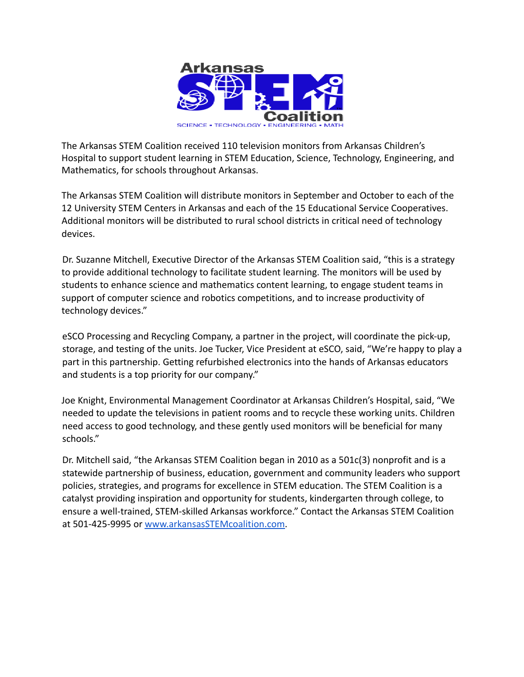

The Arkansas STEM Coalition received 110 television monitors from Arkansas Children's Hospital to support student learning in STEM Education, Science, Technology, Engineering, and Mathematics, for schools throughout Arkansas.

The Arkansas STEM Coalition will distribute monitors in September and October to each of the 12 University STEM Centers in Arkansas and each of the 15 Educational Service Cooperatives. Additional monitors will be distributed to rural school districts in critical need of technology devices.

Dr. Suzanne Mitchell, Executive Director of the Arkansas STEM Coalition said, "this is a strategy to provide additional technology to facilitate student learning. The monitors will be used by students to enhance science and mathematics content learning, to engage student teams in support of computer science and robotics competitions, and to increase productivity of technology devices."

eSCO Processing and Recycling Company, a partner in the project, will coordinate the pick-up, storage, and testing of the units. Joe Tucker, Vice President at eSCO, said, "We're happy to play a part in this partnership. Getting refurbished electronics into the hands of Arkansas educators and students is a top priority for our company."

Joe Knight, Environmental Management Coordinator at Arkansas Children's Hospital, said, "We needed to update the televisions in patient rooms and to recycle these working units. Children need access to good technology, and these gently used monitors will be beneficial for many schools."

Dr. Mitchell said, "the Arkansas STEM Coalition began in 2010 as a 501c(3) nonprofit and is a statewide partnership of business, education, government and community leaders who support policies, strategies, and programs for excellence in STEM education. The STEM Coalition is a catalyst providing inspiration and opportunity for students, kindergarten through college, to ensure a well-trained, STEM-skilled Arkansas workforce." Contact the Arkansas STEM Coalition at 501-425-9995 or [www.arkansasSTEMcoalition.com](http://www.arkansasstemcoalition.com).